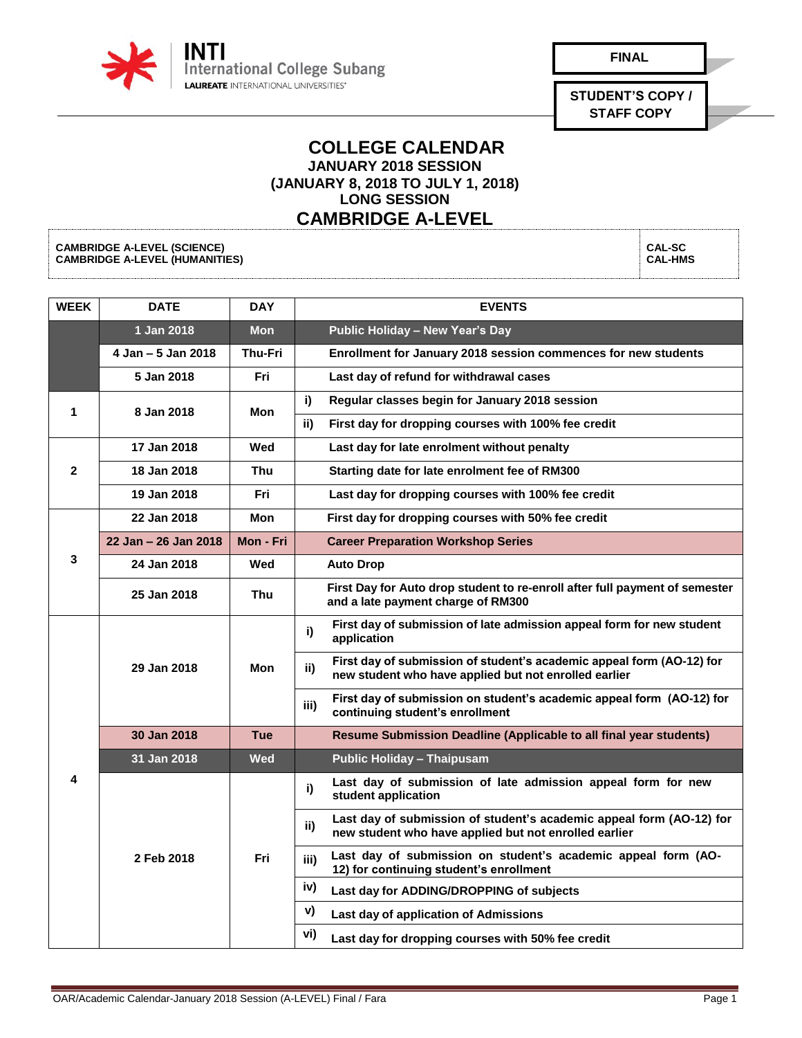

| i |  |
|---|--|
|   |  |

**STUDENT'S COPY / STAFF COPY**

> **CAL-SC CAL-HMS**

## **COLLEGE CALENDAR JANUARY 2018 SESSION (JANUARY 8, 2018 TO JULY 1, 2018) LONG SESSION**

## **CAMBRIDGE A-LEVEL**

**CAMBRIDGE A-LEVEL (SCIENCE) CAMBRIDGE A-LEVEL (HUMANITIES)**

**WEEK DATE DAY EVENTS 1 Jan 2018 Mon Public Holiday – New Year's Day 4 Jan – 5 Jan 2018 Thu-Fri Enrollment for January 2018 session commences for new students 5 Jan 2018 Fri Last day of refund for withdrawal cases 1 8 Jan 2018 Mon i) Regular classes begin for January 2018 session ii) First day for dropping courses with 100% fee credit 2 17 Jan 2018 Wed Last day for late enrolment without penalty 18 Jan 2018 Thu Starting date for late enrolment fee of RM300 19 Jan 2018 Fri Last day for dropping courses with 100% fee credit 3 22 Jan 2018 Mon First day for dropping courses with 50% fee credit 22 Jan – 26 Jan 2018 Mon - Fri Career Preparation Workshop Series 24 Jan 2018 Wed Auto Drop <sup>25</sup> Jan <sup>2018</sup> Thu First Day for Auto drop student to re-enroll after full payment of semester and a late payment charge of RM300 4 29 Jan 2018 Mon i) First day of submission of late admission appeal form for new student application ii) First day of submission of student's academic appeal form (AO-12) for new student who have applied but not enrolled earlier iii) First day of submission on student's academic appeal form (AO-12) for continuing student's enrollment 30 Jan 2018 Tue Resume Submission Deadline (Applicable to all final year students) 31 Jan 2018 Wed Public Holiday – Thaipusam 2 Feb 2018 Fri i) Last day of submission of late admission appeal form for new student application ii) Last day of submission of student's academic appeal form (AO-12) for new student who have applied but not enrolled earlier iii) Last day of submission on student's academic appeal form (AO-12) for continuing student's enrollment iv) Last day for ADDING/DROPPING of subjects v) Last day of application of Admissions vi) Last day for dropping courses with 50% fee credit**